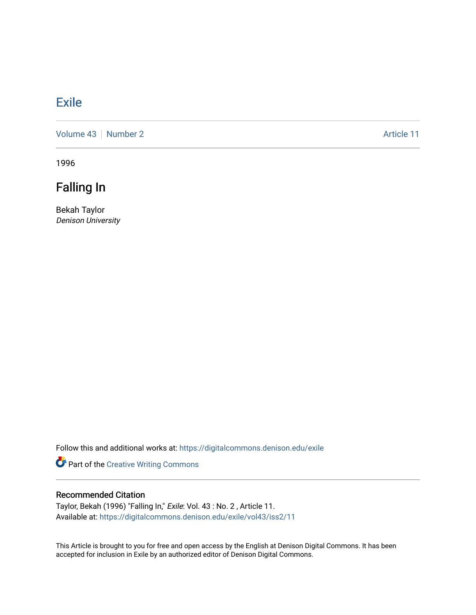## **[Exile](https://digitalcommons.denison.edu/exile)**

[Volume 43](https://digitalcommons.denison.edu/exile/vol43) [Number 2](https://digitalcommons.denison.edu/exile/vol43/iss2) Article 11

1996

Falling In

Bekah Taylor Denison University

Follow this and additional works at: [https://digitalcommons.denison.edu/exile](https://digitalcommons.denison.edu/exile?utm_source=digitalcommons.denison.edu%2Fexile%2Fvol43%2Fiss2%2F11&utm_medium=PDF&utm_campaign=PDFCoverPages) 

Part of the [Creative Writing Commons](http://network.bepress.com/hgg/discipline/574?utm_source=digitalcommons.denison.edu%2Fexile%2Fvol43%2Fiss2%2F11&utm_medium=PDF&utm_campaign=PDFCoverPages) 

## Recommended Citation

Taylor, Bekah (1996) "Falling In," Exile: Vol. 43 : No. 2 , Article 11. Available at: [https://digitalcommons.denison.edu/exile/vol43/iss2/11](https://digitalcommons.denison.edu/exile/vol43/iss2/11?utm_source=digitalcommons.denison.edu%2Fexile%2Fvol43%2Fiss2%2F11&utm_medium=PDF&utm_campaign=PDFCoverPages)

This Article is brought to you for free and open access by the English at Denison Digital Commons. It has been accepted for inclusion in Exile by an authorized editor of Denison Digital Commons.